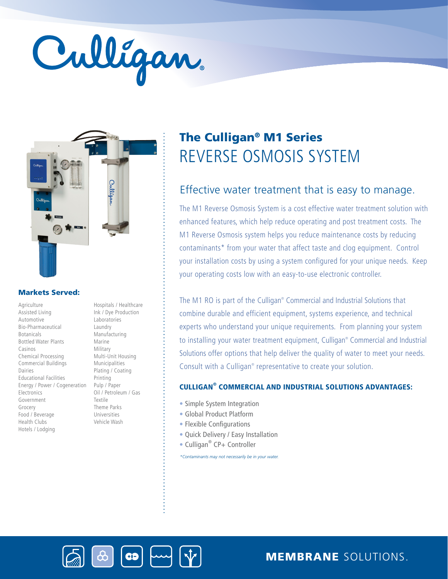# Culligan



### Markets Served:

Agriculture Assisted Living Automotive Bio-Pharmaceutical Botanicals Bottled Water Plants Casinos Chemical Processing Commercial Buildings Dairies Educational Facilities Energy / Power / Cogeneration Electronics Government Grocery Food / Beverage Health Clubs Hotels / Lodging

Hospitals / Healthcare Ink / Dye Production Laboratories Laundry Manufacturing Marine Military Multi-Unit Housing Municipalities Plating / Coating Printing Pulp / Paper Oil / Petroleum / Gas Textile Theme Parks Universities Vehicle Wash

# REVERSE OSMOSIS SYSTEM The Culligan® M1 Series

# Effective water treatment that is easy to manage.

The M1 Reverse Osmosis System is a cost effective water treatment solution with enhanced features, which help reduce operating and post treatment costs. The M1 Reverse Osmosis system helps you reduce maintenance costs by reducing contaminants\* from your water that affect taste and clog equipment. Control your installation costs by using a system configured for your unique needs. Keep your operating costs low with an easy-to-use electronic controller.

The M1 RO is part of the Culligan® Commercial and Industrial Solutions that combine durable and efficient equipment, systems experience, and technical experts who understand your unique requirements. From planning your system to installing your water treatment equipment, Culligan® Commercial and Industrial Solutions offer options that help deliver the quality of water to meet your needs. Consult with a Culligan® representative to create your solution.

### CULLIGAN® COMMERCIAL AND INDUSTRIAL SOLUTIONS ADVANTAGES:

- Simple System Integration
- Global Product Platform
- Flexible Configurations
- Quick Delivery / Easy Installation
- Culligan<sup>®</sup> CP+ Controller

*\*Contaminants may not necessarily be in your water.*





MEMBRANE SOLUTIONS.